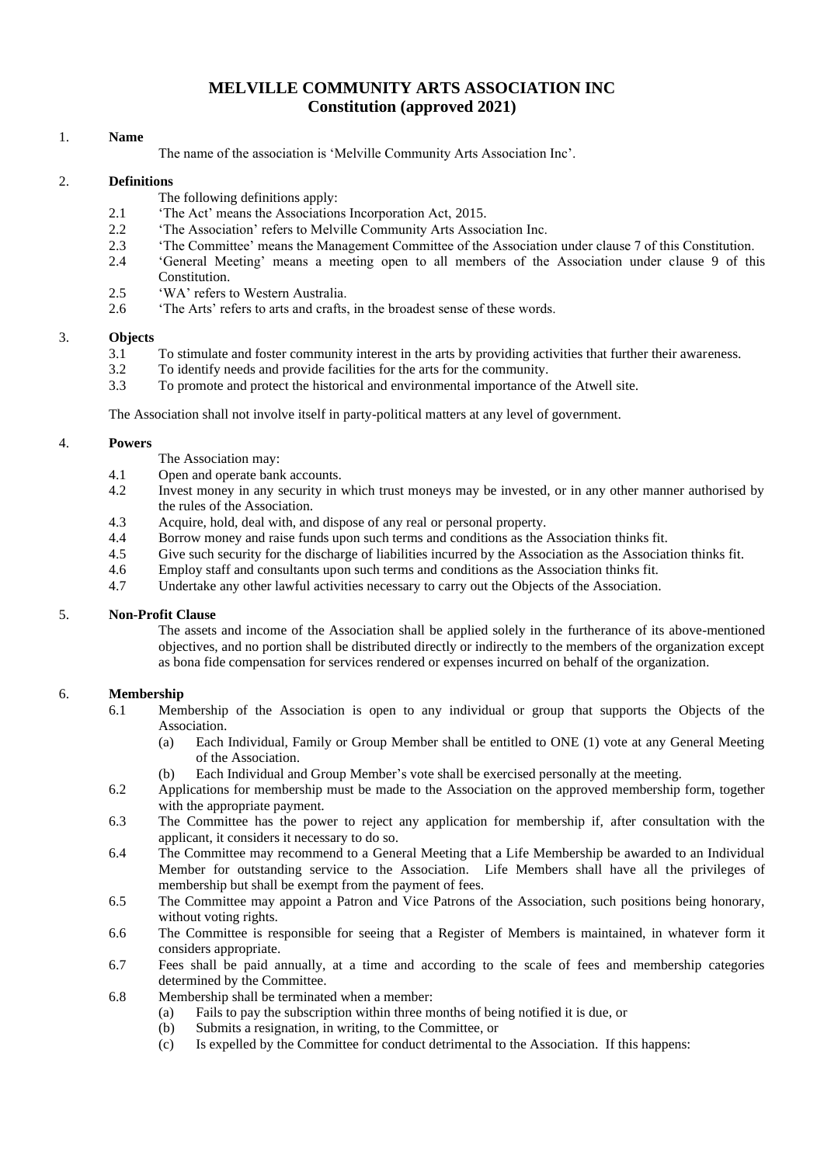# **MELVILLE COMMUNITY ARTS ASSOCIATION INC Constitution (approved 2021)**

#### 1. **Name**

The name of the association is 'Melville Community Arts Association Inc'.

#### 2. **Definitions**

- The following definitions apply:
- 2.1 The Act' means the Associations Incorporation Act, 2015.
- 2.2 'The Association' refers to Melville Community Arts Association Inc.
- 2.3 'The Committee' means the Management Committee of the Association under clause 7 of this Constitution.
- 2.4 'General Meeting' means a meeting open to all members of the Association under clause 9 of this Constitution.
- 2.5 'WA' refers to Western Australia.
- 2.6 'The Arts' refers to arts and crafts, in the broadest sense of these words.

#### 3. **Objects**

- 3.1 To stimulate and foster community interest in the arts by providing activities that further their awareness.
- 3.2 To identify needs and provide facilities for the arts for the community.
- 3.3 To promote and protect the historical and environmental importance of the Atwell site.

The Association shall not involve itself in party-political matters at any level of government.

#### 4. **Powers**

- The Association may:
- 4.1 Open and operate bank accounts.
- 4.2 Invest money in any security in which trust moneys may be invested, or in any other manner authorised by the rules of the Association.
- 4.3 Acquire, hold, deal with, and dispose of any real or personal property.
- 4.4 Borrow money and raise funds upon such terms and conditions as the Association thinks fit.
- 4.5 Give such security for the discharge of liabilities incurred by the Association as the Association thinks fit.
- 4.6 Employ staff and consultants upon such terms and conditions as the Association thinks fit.
- 4.7 Undertake any other lawful activities necessary to carry out the Objects of the Association.

#### 5. **Non-Profit Clause**

The assets and income of the Association shall be applied solely in the furtherance of its above-mentioned objectives, and no portion shall be distributed directly or indirectly to the members of the organization except as bona fide compensation for services rendered or expenses incurred on behalf of the organization.

#### 6. **Membership**

- 6.1 Membership of the Association is open to any individual or group that supports the Objects of the Association.
	- (a) Each Individual, Family or Group Member shall be entitled to ONE (1) vote at any General Meeting of the Association.
	- (b) Each Individual and Group Member's vote shall be exercised personally at the meeting.
- 6.2 Applications for membership must be made to the Association on the approved membership form, together with the appropriate payment.
- 6.3 The Committee has the power to reject any application for membership if, after consultation with the applicant, it considers it necessary to do so.
- 6.4 The Committee may recommend to a General Meeting that a Life Membership be awarded to an Individual Member for outstanding service to the Association. Life Members shall have all the privileges of membership but shall be exempt from the payment of fees.
- 6.5 The Committee may appoint a Patron and Vice Patrons of the Association, such positions being honorary, without voting rights.
- 6.6 The Committee is responsible for seeing that a Register of Members is maintained, in whatever form it considers appropriate.
- 6.7 Fees shall be paid annually, at a time and according to the scale of fees and membership categories determined by the Committee.
- 6.8 Membership shall be terminated when a member:
	- (a) Fails to pay the subscription within three months of being notified it is due, or
	- (b) Submits a resignation, in writing, to the Committee, or
	- (c) Is expelled by the Committee for conduct detrimental to the Association. If this happens: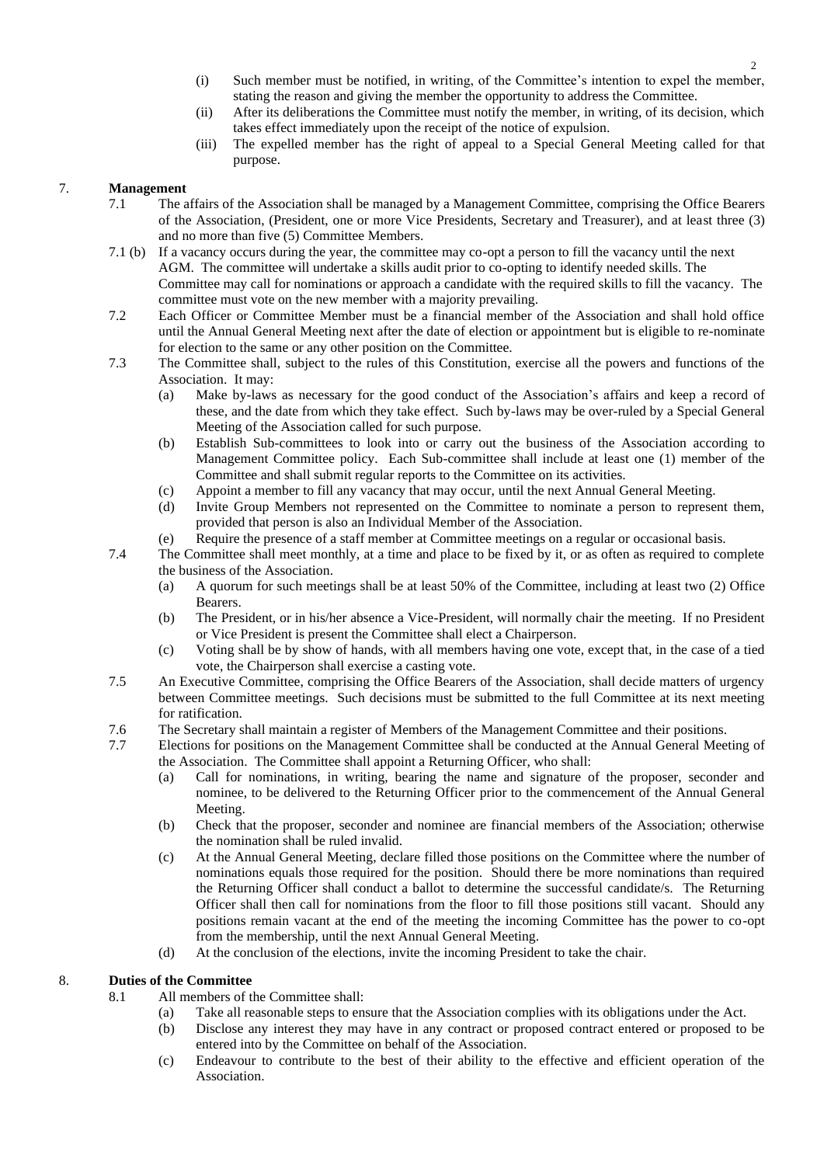- (i) Such member must be notified, in writing, of the Committee's intention to expel the member, stating the reason and giving the member the opportunity to address the Committee.
- (ii) After its deliberations the Committee must notify the member, in writing, of its decision, which takes effect immediately upon the receipt of the notice of expulsion.
- (iii) The expelled member has the right of appeal to a Special General Meeting called for that purpose.

## 7. **Management**

- 7.1 The affairs of the Association shall be managed by a Management Committee, comprising the Office Bearers of the Association, (President, one or more Vice Presidents, Secretary and Treasurer), and at least three (3) and no more than five (5) Committee Members.
- 7.1 (b) If a vacancy occurs during the year, the committee may co-opt a person to fill the vacancy until the next AGM. The committee will undertake a skills audit prior to co-opting to identify needed skills. The Committee may call for nominations or approach a candidate with the required skills to fill the vacancy. The committee must vote on the new member with a majority prevailing.
- 7.2 Each Officer or Committee Member must be a financial member of the Association and shall hold office until the Annual General Meeting next after the date of election or appointment but is eligible to re-nominate for election to the same or any other position on the Committee.
- 7.3 The Committee shall, subject to the rules of this Constitution, exercise all the powers and functions of the Association. It may:
	- (a) Make by-laws as necessary for the good conduct of the Association's affairs and keep a record of these, and the date from which they take effect. Such by-laws may be over-ruled by a Special General Meeting of the Association called for such purpose.
	- (b) Establish Sub-committees to look into or carry out the business of the Association according to Management Committee policy. Each Sub-committee shall include at least one (1) member of the Committee and shall submit regular reports to the Committee on its activities.
	- (c) Appoint a member to fill any vacancy that may occur, until the next Annual General Meeting.
	- (d) Invite Group Members not represented on the Committee to nominate a person to represent them, provided that person is also an Individual Member of the Association.
	- (e) Require the presence of a staff member at Committee meetings on a regular or occasional basis.
- 7.4 The Committee shall meet monthly, at a time and place to be fixed by it, or as often as required to complete the business of the Association.
	- (a) A quorum for such meetings shall be at least 50% of the Committee, including at least two (2) Office Bearers.
	- (b) The President, or in his/her absence a Vice-President, will normally chair the meeting. If no President or Vice President is present the Committee shall elect a Chairperson.
	- (c) Voting shall be by show of hands, with all members having one vote, except that, in the case of a tied vote, the Chairperson shall exercise a casting vote.
- 7.5 An Executive Committee, comprising the Office Bearers of the Association, shall decide matters of urgency between Committee meetings. Such decisions must be submitted to the full Committee at its next meeting for ratification.
- 7.6 The Secretary shall maintain a register of Members of the Management Committee and their positions.
- 7.7 Elections for positions on the Management Committee shall be conducted at the Annual General Meeting of the Association. The Committee shall appoint a Returning Officer, who shall:
	- (a) Call for nominations, in writing, bearing the name and signature of the proposer, seconder and nominee, to be delivered to the Returning Officer prior to the commencement of the Annual General Meeting.
	- (b) Check that the proposer, seconder and nominee are financial members of the Association; otherwise the nomination shall be ruled invalid.
	- (c) At the Annual General Meeting, declare filled those positions on the Committee where the number of nominations equals those required for the position. Should there be more nominations than required the Returning Officer shall conduct a ballot to determine the successful candidate/s. The Returning Officer shall then call for nominations from the floor to fill those positions still vacant. Should any positions remain vacant at the end of the meeting the incoming Committee has the power to co-opt from the membership, until the next Annual General Meeting.
	- (d) At the conclusion of the elections, invite the incoming President to take the chair.

# 8. **Duties of the Committee**

- 8.1 All members of the Committee shall:
	- (a) Take all reasonable steps to ensure that the Association complies with its obligations under the Act.
	- (b) Disclose any interest they may have in any contract or proposed contract entered or proposed to be entered into by the Committee on behalf of the Association.
	- (c) Endeavour to contribute to the best of their ability to the effective and efficient operation of the Association.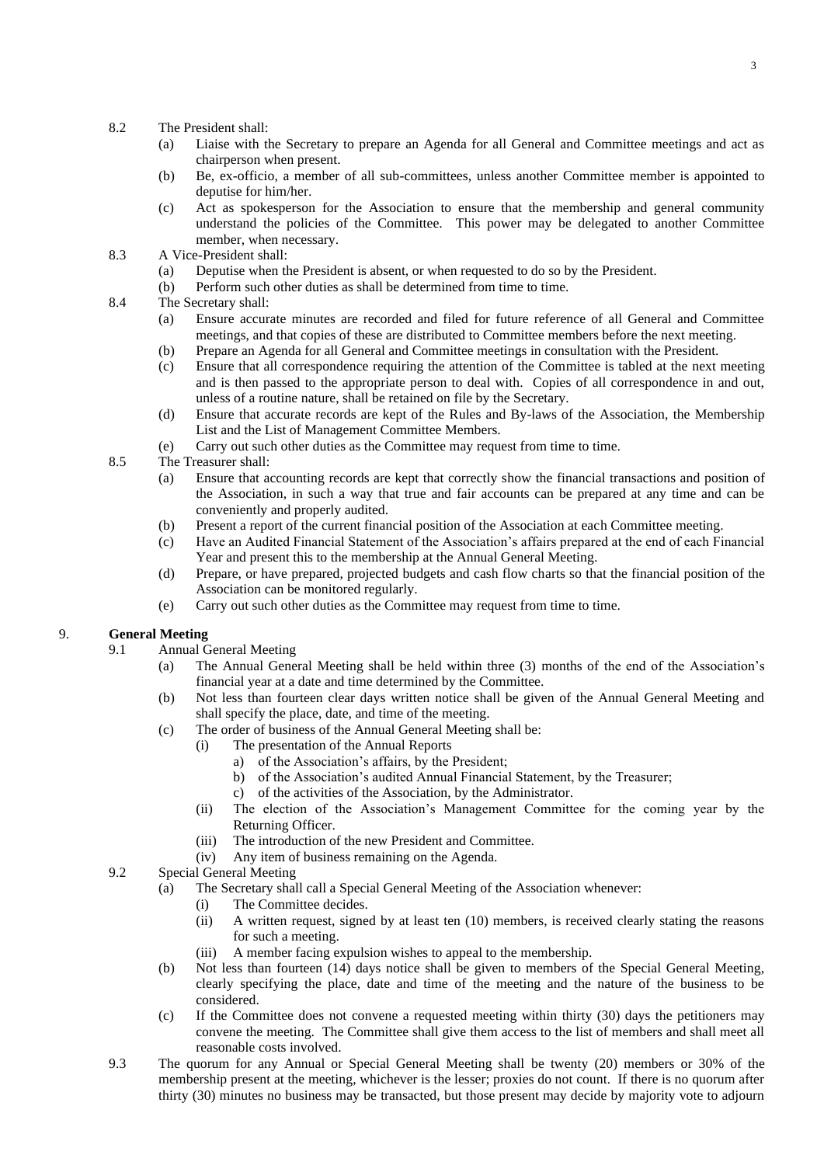- 8.2 The President shall:
	- (a) Liaise with the Secretary to prepare an Agenda for all General and Committee meetings and act as chairperson when present.
	- (b) Be, ex-officio, a member of all sub-committees, unless another Committee member is appointed to deputise for him/her.
	- (c) Act as spokesperson for the Association to ensure that the membership and general community understand the policies of the Committee. This power may be delegated to another Committee member, when necessary.
- 8.3 A Vice-President shall:
	- (a) Deputise when the President is absent, or when requested to do so by the President.
	- (b) Perform such other duties as shall be determined from time to time.
- 8.4 The Secretary shall:
	- (a) Ensure accurate minutes are recorded and filed for future reference of all General and Committee meetings, and that copies of these are distributed to Committee members before the next meeting.
	- (b) Prepare an Agenda for all General and Committee meetings in consultation with the President.
	- (c) Ensure that all correspondence requiring the attention of the Committee is tabled at the next meeting and is then passed to the appropriate person to deal with. Copies of all correspondence in and out, unless of a routine nature, shall be retained on file by the Secretary.
	- (d) Ensure that accurate records are kept of the Rules and By-laws of the Association, the Membership List and the List of Management Committee Members.
	- (e) Carry out such other duties as the Committee may request from time to time.
- 8.5 The Treasurer shall:
	- (a) Ensure that accounting records are kept that correctly show the financial transactions and position of the Association, in such a way that true and fair accounts can be prepared at any time and can be conveniently and properly audited.
	- (b) Present a report of the current financial position of the Association at each Committee meeting.
	- (c) Have an Audited Financial Statement of the Association's affairs prepared at the end of each Financial Year and present this to the membership at the Annual General Meeting.
	- (d) Prepare, or have prepared, projected budgets and cash flow charts so that the financial position of the Association can be monitored regularly.
	- (e) Carry out such other duties as the Committee may request from time to time.

#### 9. **General Meeting**

- 9.1 Annual General Meeting
	- (a) The Annual General Meeting shall be held within three (3) months of the end of the Association's financial year at a date and time determined by the Committee.
	- (b) Not less than fourteen clear days written notice shall be given of the Annual General Meeting and shall specify the place, date, and time of the meeting.
	- (c) The order of business of the Annual General Meeting shall be:
		- (i) The presentation of the Annual Reports
			- a) of the Association's affairs, by the President;
			- b) of the Association's audited Annual Financial Statement, by the Treasurer;
			- c) of the activities of the Association, by the Administrator.
		- (ii) The election of the Association's Management Committee for the coming year by the Returning Officer.
		- (iii) The introduction of the new President and Committee.
		- (iv) Any item of business remaining on the Agenda.

#### 9.2 Special General Meeting

- (a) The Secretary shall call a Special General Meeting of the Association whenever:
	- (i) The Committee decides.
	- (ii) A written request, signed by at least ten (10) members, is received clearly stating the reasons for such a meeting.
	- (iii) A member facing expulsion wishes to appeal to the membership.
- (b) Not less than fourteen (14) days notice shall be given to members of the Special General Meeting, clearly specifying the place, date and time of the meeting and the nature of the business to be considered.
- (c) If the Committee does not convene a requested meeting within thirty (30) days the petitioners may convene the meeting. The Committee shall give them access to the list of members and shall meet all reasonable costs involved.
- 9.3 The quorum for any Annual or Special General Meeting shall be twenty (20) members or 30% of the membership present at the meeting, whichever is the lesser; proxies do not count. If there is no quorum after thirty (30) minutes no business may be transacted, but those present may decide by majority vote to adjourn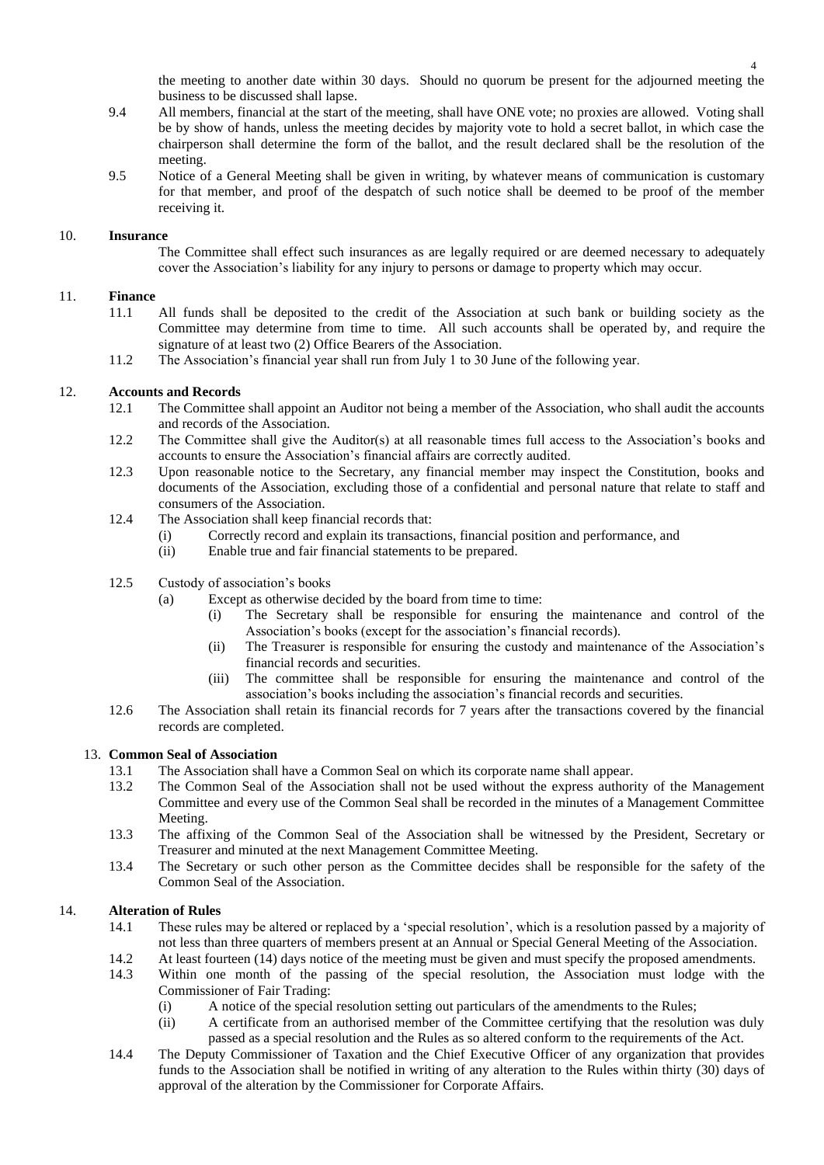the meeting to another date within 30 days. Should no quorum be present for the adjourned meeting the business to be discussed shall lapse.

- 9.4 All members, financial at the start of the meeting, shall have ONE vote; no proxies are allowed. Voting shall be by show of hands, unless the meeting decides by majority vote to hold a secret ballot, in which case the chairperson shall determine the form of the ballot, and the result declared shall be the resolution of the meeting.
- 9.5 Notice of a General Meeting shall be given in writing, by whatever means of communication is customary for that member, and proof of the despatch of such notice shall be deemed to be proof of the member receiving it.

#### 10. **Insurance**

The Committee shall effect such insurances as are legally required or are deemed necessary to adequately cover the Association's liability for any injury to persons or damage to property which may occur.

# 11. **Finance**

- All funds shall be deposited to the credit of the Association at such bank or building society as the Committee may determine from time to time. All such accounts shall be operated by, and require the signature of at least two (2) Office Bearers of the Association.
- 11.2 The Association's financial year shall run from July 1 to 30 June of the following year.

#### 12. **Accounts and Records**

- 12.1 The Committee shall appoint an Auditor not being a member of the Association, who shall audit the accounts and records of the Association.
- 12.2 The Committee shall give the Auditor(s) at all reasonable times full access to the Association's books and accounts to ensure the Association's financial affairs are correctly audited.
- 12.3 Upon reasonable notice to the Secretary, any financial member may inspect the Constitution, books and documents of the Association, excluding those of a confidential and personal nature that relate to staff and consumers of the Association.
- 12.4 The Association shall keep financial records that:
	- (i) Correctly record and explain its transactions, financial position and performance, and
	- (ii) Enable true and fair financial statements to be prepared.
- 12.5 Custody of association's books
	- (a) Except as otherwise decided by the board from time to time:
		- (i) The Secretary shall be responsible for ensuring the maintenance and control of the Association's books (except for the association's financial records).
		- (ii) The Treasurer is responsible for ensuring the custody and maintenance of the Association's financial records and securities.
		- (iii) The committee shall be responsible for ensuring the maintenance and control of the association's books including the association's financial records and securities.
- 12.6 The Association shall retain its financial records for 7 years after the transactions covered by the financial records are completed.

# 13. **Common Seal of Association**

- 13.1 The Association shall have a Common Seal on which its corporate name shall appear.
- 13.2 The Common Seal of the Association shall not be used without the express authority of the Management Committee and every use of the Common Seal shall be recorded in the minutes of a Management Committee Meeting.
- 13.3 The affixing of the Common Seal of the Association shall be witnessed by the President, Secretary or Treasurer and minuted at the next Management Committee Meeting.
- 13.4 The Secretary or such other person as the Committee decides shall be responsible for the safety of the Common Seal of the Association.

#### 14. **Alteration of Rules**

- 14.1 These rules may be altered or replaced by a 'special resolution', which is a resolution passed by a majority of not less than three quarters of members present at an Annual or Special General Meeting of the Association.
- 14.2 At least fourteen (14) days notice of the meeting must be given and must specify the proposed amendments.
- 14.3 Within one month of the passing of the special resolution, the Association must lodge with the Commissioner of Fair Trading:
	- (i) A notice of the special resolution setting out particulars of the amendments to the Rules;
	- (ii) A certificate from an authorised member of the Committee certifying that the resolution was duly passed as a special resolution and the Rules as so altered conform to the requirements of the Act.
- 14.4 The Deputy Commissioner of Taxation and the Chief Executive Officer of any organization that provides funds to the Association shall be notified in writing of any alteration to the Rules within thirty (30) days of approval of the alteration by the Commissioner for Corporate Affairs.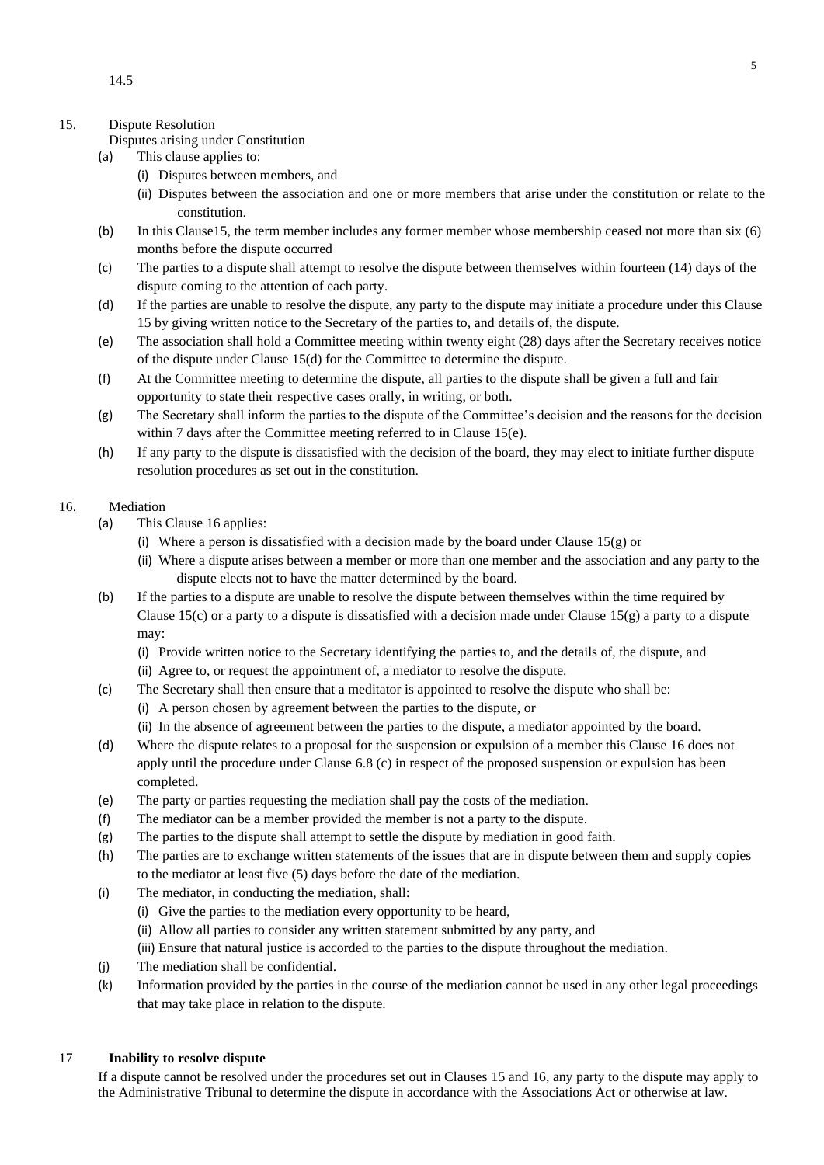## 15. Dispute Resolution

- Disputes arising under Constitution
- (a) This clause applies to:
	- (i) Disputes between members, and
	- (ii) Disputes between the association and one or more members that arise under the constitution or relate to the constitution.
- (b) In this Clause15, the term member includes any former member whose membership ceased not more than six (6) months before the dispute occurred
- (c) The parties to a dispute shall attempt to resolve the dispute between themselves within fourteen (14) days of the dispute coming to the attention of each party.
- (d) If the parties are unable to resolve the dispute, any party to the dispute may initiate a procedure under this Clause 15 by giving written notice to the Secretary of the parties to, and details of, the dispute.
- (e) The association shall hold a Committee meeting within twenty eight (28) days after the Secretary receives notice of the dispute under Clause 15(d) for the Committee to determine the dispute.
- (f) At the Committee meeting to determine the dispute, all parties to the dispute shall be given a full and fair opportunity to state their respective cases orally, in writing, or both.
- (g) The Secretary shall inform the parties to the dispute of the Committee's decision and the reasons for the decision within 7 days after the Committee meeting referred to in Clause 15(e).
- (h) If any party to the dispute is dissatisfied with the decision of the board, they may elect to initiate further dispute resolution procedures as set out in the constitution.

#### 16. Mediation

- (a) This Clause 16 applies:
	- (i) Where a person is dissatisfied with a decision made by the board under Clause  $15(g)$  or
	- (ii) Where a dispute arises between a member or more than one member and the association and any party to the dispute elects not to have the matter determined by the board.
- (b) If the parties to a dispute are unable to resolve the dispute between themselves within the time required by Clause 15(c) or a party to a dispute is dissatisfied with a decision made under Clause 15(g) a party to a dispute may:
	- (i) Provide written notice to the Secretary identifying the parties to, and the details of, the dispute, and
	- (ii) Agree to, or request the appointment of, a mediator to resolve the dispute.
- (c) The Secretary shall then ensure that a meditator is appointed to resolve the dispute who shall be:
	- (i) A person chosen by agreement between the parties to the dispute, or
	- (ii) In the absence of agreement between the parties to the dispute, a mediator appointed by the board.
- (d) Where the dispute relates to a proposal for the suspension or expulsion of a member this Clause 16 does not apply until the procedure under Clause 6.8 (c) in respect of the proposed suspension or expulsion has been completed.
- (e) The party or parties requesting the mediation shall pay the costs of the mediation.
- (f) The mediator can be a member provided the member is not a party to the dispute.
- (g) The parties to the dispute shall attempt to settle the dispute by mediation in good faith.
- (h) The parties are to exchange written statements of the issues that are in dispute between them and supply copies to the mediator at least five (5) days before the date of the mediation.
- (i) The mediator, in conducting the mediation, shall:
	- (i) Give the parties to the mediation every opportunity to be heard,
	- (ii) Allow all parties to consider any written statement submitted by any party, and
	- (iii) Ensure that natural justice is accorded to the parties to the dispute throughout the mediation.
- (j) The mediation shall be confidential.
- (k) Information provided by the parties in the course of the mediation cannot be used in any other legal proceedings that may take place in relation to the dispute.

# 17 **Inability to resolve dispute**

If a dispute cannot be resolved under the procedures set out in Clauses 15 and 16, any party to the dispute may apply to the Administrative Tribunal to determine the dispute in accordance with the Associations Act or otherwise at law.